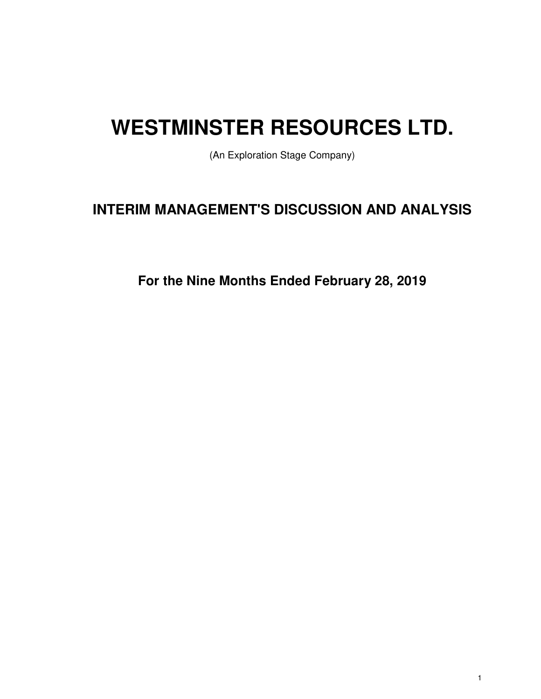# **WESTMINSTER RESOURCES LTD.**

(An Exploration Stage Company)

# **INTERIM MANAGEMENT'S DISCUSSION AND ANALYSIS**

**For the Nine Months Ended February 28, 2019**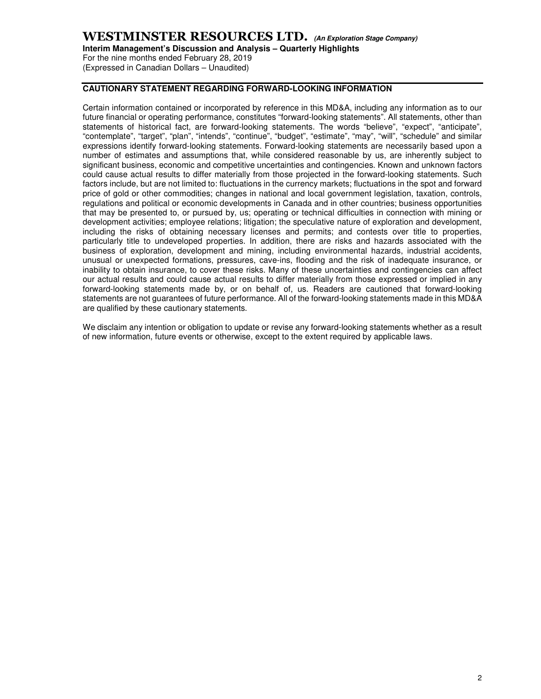## **WESTMINSTER RESOURCES LTD. (An Exploration Stage Company)**

**Interim Management's Discussion and Analysis – Quarterly Highlights** 

For the nine months ended February 28, 2019 (Expressed in Canadian Dollars – Unaudited)

#### **CAUTIONARY STATEMENT REGARDING FORWARD-LOOKING INFORMATION**

Certain information contained or incorporated by reference in this MD&A, including any information as to our future financial or operating performance, constitutes "forward-looking statements". All statements, other than statements of historical fact, are forward-looking statements. The words "believe", "expect", "anticipate", "contemplate", "target", "plan", "intends", "continue", "budget", "estimate", "may", "will", "schedule" and similar expressions identify forward-looking statements. Forward-looking statements are necessarily based upon a number of estimates and assumptions that, while considered reasonable by us, are inherently subject to significant business, economic and competitive uncertainties and contingencies. Known and unknown factors could cause actual results to differ materially from those projected in the forward-looking statements. Such factors include, but are not limited to: fluctuations in the currency markets; fluctuations in the spot and forward price of gold or other commodities; changes in national and local government legislation, taxation, controls, regulations and political or economic developments in Canada and in other countries; business opportunities that may be presented to, or pursued by, us; operating or technical difficulties in connection with mining or development activities; employee relations; litigation; the speculative nature of exploration and development, including the risks of obtaining necessary licenses and permits; and contests over title to properties, particularly title to undeveloped properties. In addition, there are risks and hazards associated with the business of exploration, development and mining, including environmental hazards, industrial accidents, unusual or unexpected formations, pressures, cave-ins, flooding and the risk of inadequate insurance, or inability to obtain insurance, to cover these risks. Many of these uncertainties and contingencies can affect our actual results and could cause actual results to differ materially from those expressed or implied in any forward-looking statements made by, or on behalf of, us. Readers are cautioned that forward-looking statements are not guarantees of future performance. All of the forward-looking statements made in this MD&A are qualified by these cautionary statements.

We disclaim any intention or obligation to update or revise any forward-looking statements whether as a result of new information, future events or otherwise, except to the extent required by applicable laws.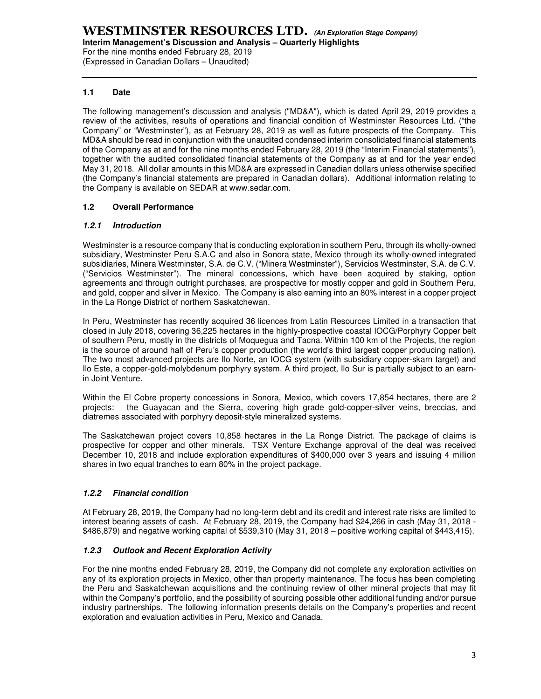For the nine months ended February 28, 2019 (Expressed in Canadian Dollars – Unaudited)

#### **1.1 Date**

The following management's discussion and analysis ("MD&A"), which is dated April 29, 2019 provides a review of the activities, results of operations and financial condition of Westminster Resources Ltd. ("the Company" or "Westminster"), as at February 28, 2019 as well as future prospects of the Company. This MD&A should be read in conjunction with the unaudited condensed interim consolidated financial statements of the Company as at and for the nine months ended February 28, 2019 (the "Interim Financial statements"), together with the audited consolidated financial statements of the Company as at and for the year ended May 31, 2018. All dollar amounts in this MD&A are expressed in Canadian dollars unless otherwise specified (the Company's financial statements are prepared in Canadian dollars). Additional information relating to the Company is available on SEDAR at www.sedar.com.

#### **1.2 Overall Performance**

#### **1.2.1 Introduction**

Westminster is a resource company that is conducting exploration in southern Peru, through its wholly-owned subsidiary, Westminster Peru S.A.C and also in Sonora state, Mexico through its wholly-owned integrated subsidiaries, Minera Westminster, S.A. de C.V. ("Minera Westminster"), Servicios Westminster, S.A. de C.V. ("Servicios Westminster"). The mineral concessions, which have been acquired by staking, option agreements and through outright purchases, are prospective for mostly copper and gold in Southern Peru, and gold, copper and silver in Mexico. The Company is also earning into an 80% interest in a copper project in the La Ronge District of northern Saskatchewan.

In Peru, Westminster has recently acquired 36 licences from Latin Resources Limited in a transaction that closed in July 2018, covering 36,225 hectares in the highly-prospective coastal IOCG/Porphyry Copper belt of southern Peru, mostly in the districts of Moquegua and Tacna. Within 100 km of the Projects, the region is the source of around half of Peru's copper production (the world's third largest copper producing nation). The two most advanced projects are Ilo Norte, an IOCG system (with subsidiary copper-skarn target) and Ilo Este, a copper-gold-molybdenum porphyry system. A third project, Ilo Sur is partially subject to an earnin Joint Venture.

Within the El Cobre property concessions in Sonora, Mexico, which covers 17,854 hectares, there are 2 projects: the Guayacan and the Sierra, covering high grade gold-copper-silver veins, breccias, and diatremes associated with porphyry deposit-style mineralized systems.

The Saskatchewan project covers 10,858 hectares in the La Ronge District. The package of claims is prospective for copper and other minerals. TSX Venture Exchange approval of the deal was received December 10, 2018 and include exploration expenditures of \$400,000 over 3 years and issuing 4 million shares in two equal tranches to earn 80% in the project package.

#### **1.2.2 Financial condition**

At February 28, 2019, the Company had no long-term debt and its credit and interest rate risks are limited to interest bearing assets of cash. At February 28, 2019, the Company had \$24,266 in cash (May 31, 2018 - \$486,879) and negative working capital of \$539,310 (May 31, 2018 – positive working capital of \$443,415).

#### **1.2.3 Outlook and Recent Exploration Activity**

For the nine months ended February 28, 2019, the Company did not complete any exploration activities on any of its exploration projects in Mexico, other than property maintenance. The focus has been completing the Peru and Saskatchewan acquisitions and the continuing review of other mineral projects that may fit within the Company's portfolio, and the possibility of sourcing possible other additional funding and/or pursue industry partnerships. The following information presents details on the Company's properties and recent exploration and evaluation activities in Peru, Mexico and Canada.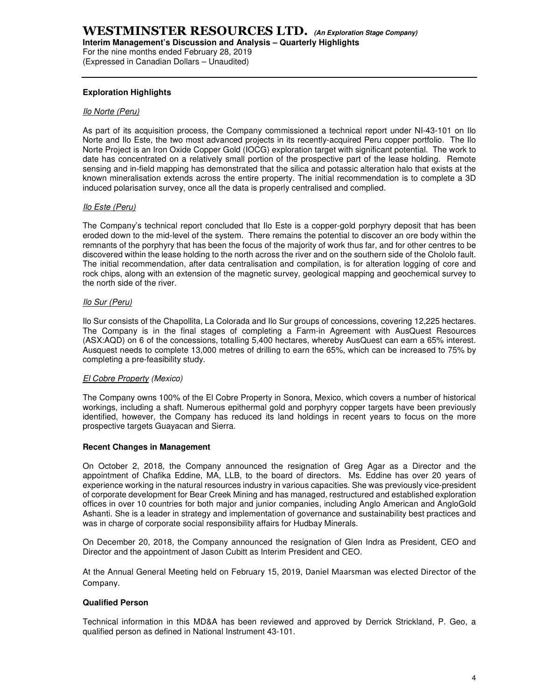**Interim Management's Discussion and Analysis – Quarterly Highlights** 

For the nine months ended February 28, 2019 (Expressed in Canadian Dollars – Unaudited)

#### **Exploration Highlights**

#### Ilo Norte (Peru)

As part of its acquisition process, the Company commissioned a technical report under NI-43-101 on Ilo Norte and Ilo Este, the two most advanced projects in its recently-acquired Peru copper portfolio. The Ilo Norte Project is an Iron Oxide Copper Gold (IOCG) exploration target with significant potential. The work to date has concentrated on a relatively small portion of the prospective part of the lease holding. Remote sensing and in-field mapping has demonstrated that the silica and potassic alteration halo that exists at the known mineralisation extends across the entire property. The initial recommendation is to complete a 3D induced polarisation survey, once all the data is properly centralised and complied.

#### Ilo Este (Peru)

The Company's technical report concluded that Ilo Este is a copper-gold porphyry deposit that has been eroded down to the mid-level of the system. There remains the potential to discover an ore body within the remnants of the porphyry that has been the focus of the majority of work thus far, and for other centres to be discovered within the lease holding to the north across the river and on the southern side of the Chololo fault. The initial recommendation, after data centralisation and compilation, is for alteration logging of core and rock chips, along with an extension of the magnetic survey, geological mapping and geochemical survey to the north side of the river.

#### Ilo Sur (Peru)

Ilo Sur consists of the Chapollita, La Colorada and Ilo Sur groups of concessions, covering 12,225 hectares. The Company is in the final stages of completing a Farm-in Agreement with AusQuest Resources (ASX:AQD) on 6 of the concessions, totalling 5,400 hectares, whereby AusQuest can earn a 65% interest. Ausquest needs to complete 13,000 metres of drilling to earn the 65%, which can be increased to 75% by completing a pre-feasibility study.

#### El Cobre Property (Mexico)

The Company owns 100% of the El Cobre Property in Sonora, Mexico, which covers a number of historical workings, including a shaft. Numerous epithermal gold and porphyry copper targets have been previously identified, however, the Company has reduced its land holdings in recent years to focus on the more prospective targets Guayacan and Sierra.

#### **Recent Changes in Management**

On October 2, 2018, the Company announced the resignation of Greg Agar as a Director and the appointment of Chafika Eddine, MA, LLB, to the board of directors. Ms. Eddine has over 20 years of experience working in the natural resources industry in various capacities. She was previously vice-president of corporate development for Bear Creek Mining and has managed, restructured and established exploration offices in over 10 countries for both major and junior companies, including Anglo American and AngloGold Ashanti. She is a leader in strategy and implementation of governance and sustainability best practices and was in charge of corporate social responsibility affairs for Hudbay Minerals.

On December 20, 2018, the Company announced the resignation of Glen Indra as President, CEO and Director and the appointment of Jason Cubitt as Interim President and CEO.

At the Annual General Meeting held on February 15, 2019, Daniel Maarsman was elected Director of the Company.

#### **Qualified Person**

Technical information in this MD&A has been reviewed and approved by Derrick Strickland, P. Geo, a qualified person as defined in National Instrument 43-101.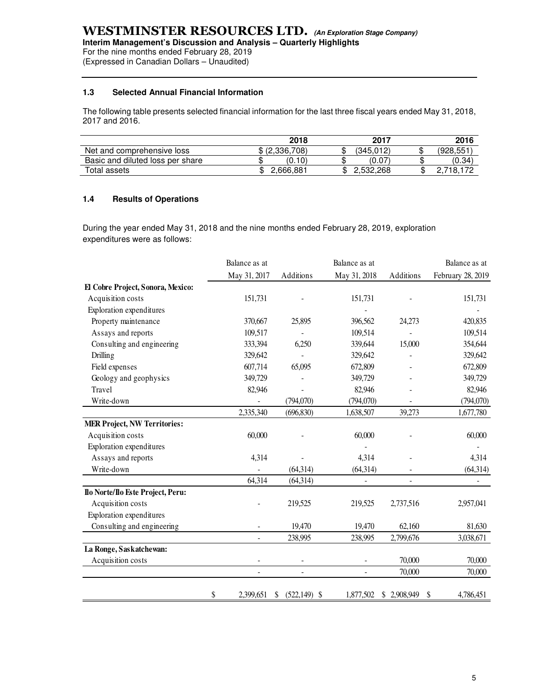(Expressed in Canadian Dollars – Unaudited)

#### **1.3 Selected Annual Financial Information**

The following table presents selected financial information for the last three fiscal years ended May 31, 2018, 2017 and 2016.

|                                  | 2018           | 2017      |    | 2016     |
|----------------------------------|----------------|-----------|----|----------|
| Net and comprehensive loss       | \$ (2,336,708) | (345.012) | ιD | (928,551 |
| Basic and diluted loss per share | (0.10)         | (0.07)    | ۰D | (0.34)   |
| Total assets                     | 2,666,881      | 2.532.268 |    | 718.172  |

#### **1.4 Results of Operations**

During the year ended May 31, 2018 and the nine months ended February 28, 2019, exploration expenditures were as follows:

|                                     | Balance as at            |                          | Balance as at |             | Balance as at              |  |
|-------------------------------------|--------------------------|--------------------------|---------------|-------------|----------------------------|--|
|                                     | May 31, 2017             | Additions                | May 31, 2018  | Additions   | February 28, 2019          |  |
| El Cobre Project, Sonora, Mexico:   |                          |                          |               |             |                            |  |
| Acquisition costs                   | 151,731                  |                          | 151,731       |             | 151,731                    |  |
| Exploration expenditures            |                          |                          |               |             |                            |  |
| Property maintenance                | 370,667                  | 25,895                   | 396,562       | 24,273      | 420,835                    |  |
| Assays and reports                  | 109,517                  |                          | 109,514       |             | 109,514                    |  |
| Consulting and engineering          | 333,394                  | 6,250                    | 339,644       | 15,000      | 354,644                    |  |
| Drilling                            | 329,642                  |                          | 329,642       |             | 329,642                    |  |
| Field expenses                      | 607,714                  | 65,095                   | 672,809       |             | 672,809                    |  |
| Geology and geophysics              | 349,729                  |                          | 349,729       |             | 349,729                    |  |
| Travel                              | 82,946                   |                          | 82,946        |             | 82,946                     |  |
| Write-down                          | $\overline{\phantom{a}}$ | (794,070)                | (794,070)     |             | (794,070)                  |  |
|                                     | 2,335,340                | (696, 830)               | 1,638,507     | 39,273      | 1,677,780                  |  |
| <b>MER Project, NW Territories:</b> |                          |                          |               |             |                            |  |
| Acquisition costs                   | 60,000                   |                          | 60,000        |             | 60,000                     |  |
| Exploration expenditures            |                          |                          |               |             |                            |  |
| Assays and reports                  | 4,314                    |                          | 4,314         |             | 4,314                      |  |
| Write-down                          |                          | (64, 314)                | (64, 314)     |             | (64, 314)                  |  |
|                                     | 64,314                   | (64,314)                 | ÷,            |             | $\overline{\phantom{a}}$   |  |
| Ilo Norte/Ilo Este Project, Peru:   |                          |                          |               |             |                            |  |
| Acquisition costs                   |                          | 219,525                  | 219,525       | 2,737,516   | 2,957,041                  |  |
| Exploration expenditures            |                          |                          |               |             |                            |  |
| Consulting and engineering          |                          | 19,470                   | 19,470        | 62,160      | 81,630                     |  |
|                                     | $\blacksquare$           | 238,995                  | 238,995       | 2,799,676   | 3,038,671                  |  |
| La Ronge, Saskatchewan:             |                          |                          |               |             |                            |  |
| Acquisition costs                   |                          | $\overline{\phantom{a}}$ |               | 70,000      | 70,000                     |  |
|                                     | $\overline{a}$           | $\blacksquare$           |               | 70,000      | 70,000                     |  |
|                                     |                          |                          |               |             |                            |  |
|                                     | \$<br>2,399,651          | $(522, 149)$ \$<br>S     | 1,877,502     | \$2,908,949 | 4,786,451<br><sup>\$</sup> |  |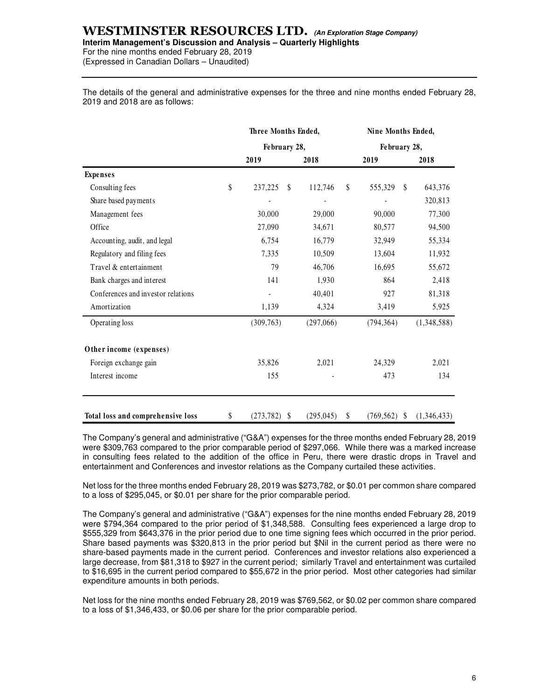# **WESTMINSTER RESOURCES LTD. (An Exploration Stage Company)**

**Interim Management's Discussion and Analysis – Quarterly Highlights** 

For the nine months ended February 28, 2019 (Expressed in Canadian Dollars – Unaudited)

The details of the general and administrative expenses for the three and nine months ended February 28, 2019 and 2018 are as follows:

|                                    | Three Months Ended, |    |            |    | Nine Months Ended,      |             |  |  |
|------------------------------------|---------------------|----|------------|----|-------------------------|-------------|--|--|
|                                    | February 28,        |    |            |    | February 28,            |             |  |  |
|                                    | 2019                |    | 2018       |    | 2019                    | 2018        |  |  |
| <b>Expenses</b>                    |                     |    |            |    |                         |             |  |  |
| Consulting fees                    | \$<br>237,225       | \$ | 112,746    | \$ | 555,329<br>$\mathbb{S}$ | 643,376     |  |  |
| Share based payments               |                     |    |            |    |                         | 320,813     |  |  |
| Management fees                    | 30,000              |    | 29,000     |    | 90,000                  | 77,300      |  |  |
| Office                             | 27,090              |    | 34,671     |    | 80,577                  | 94,500      |  |  |
| Accounting, audit, and legal       | 6,754               |    | 16,779     |    | 32,949                  | 55,334      |  |  |
| Regulatory and filing fees         | 7,335               |    | 10,509     |    | 13,604                  | 11,932      |  |  |
| Travel & entertainment             | 79                  |    | 46,706     |    | 16,695                  | 55,672      |  |  |
| Bank charges and interest          | 141                 |    | 1,930      |    | 864                     | 2,418       |  |  |
| Conferences and investor relations |                     |    | 40,401     |    | 927                     | 81,318      |  |  |
| Amortization                       | 1,139               |    | 4,324      |    | 3,419                   | 5,925       |  |  |
| Operating loss                     | (309, 763)          |    | (297,066)  |    | (794, 364)              | (1,348,588) |  |  |
| Other income (expenses)            |                     |    |            |    |                         |             |  |  |
| Foreign exchange gain              | 35,826              |    | 2,021      |    | 24,329                  | 2,021       |  |  |
| Interest income                    | 155                 |    |            |    | 473                     | 134         |  |  |
| Total loss and comprehensive loss  | \$<br>(273, 782)    | -S | (295, 045) | S  | $(769, 562)$ \$         | (1,346,433) |  |  |

The Company's general and administrative ("G&A") expenses for the three months ended February 28, 2019 were \$309,763 compared to the prior comparable period of \$297,066. While there was a marked increase in consulting fees related to the addition of the office in Peru, there were drastic drops in Travel and entertainment and Conferences and investor relations as the Company curtailed these activities.

Net loss for the three months ended February 28, 2019 was \$273,782, or \$0.01 per common share compared to a loss of \$295,045, or \$0.01 per share for the prior comparable period.

The Company's general and administrative ("G&A") expenses for the nine months ended February 28, 2019 were \$794,364 compared to the prior period of \$1,348,588. Consulting fees experienced a large drop to \$555,329 from \$643,376 in the prior period due to one time signing fees which occurred in the prior period. Share based payments was \$320,813 in the prior period but \$Nil in the current period as there were no share-based payments made in the current period. Conferences and investor relations also experienced a large decrease, from \$81,318 to \$927 in the current period; similarly Travel and entertainment was curtailed to \$16,695 in the current period compared to \$55,672 in the prior period. Most other categories had similar expenditure amounts in both periods.

Net loss for the nine months ended February 28, 2019 was \$769,562, or \$0.02 per common share compared to a loss of \$1,346,433, or \$0.06 per share for the prior comparable period.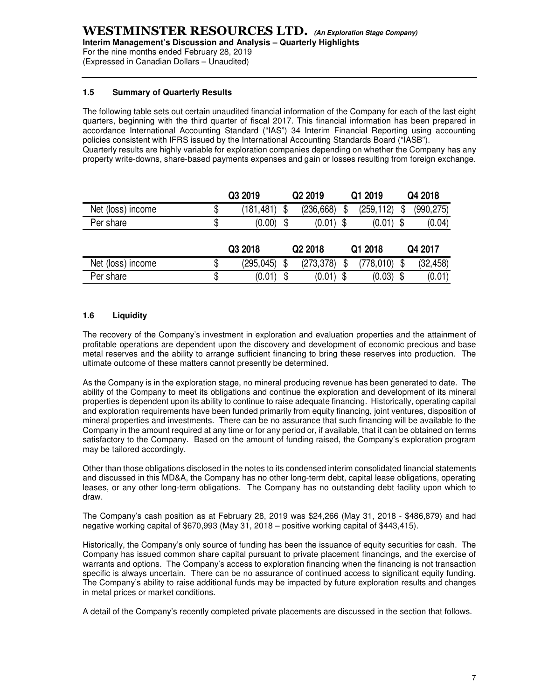For the nine months ended February 28, 2019 (Expressed in Canadian Dollars – Unaudited)

#### **1.5 Summary of Quarterly Results**

The following table sets out certain unaudited financial information of the Company for each of the last eight quarters, beginning with the third quarter of fiscal 2017. This financial information has been prepared in accordance International Accounting Standard ("IAS") 34 Interim Financial Reporting using accounting policies consistent with IFRS issued by the International Accounting Standards Board ("IASB"). Quarterly results are highly variable for exploration companies depending on whether the Company has any property write-downs, share-based payments expenses and gain or losses resulting from foreign exchange.

|                   | Q3 2019    | Q <sub>2</sub> 2019 |                     | Q1 2019 |           | Q4 2018 |            |
|-------------------|------------|---------------------|---------------------|---------|-----------|---------|------------|
| Net (loss) income | (181,481)  |                     | (236, 668)          | \$      | (259,112) | \$      | (990, 275) |
| Per share         | (0.00)     | \$                  | (0.01)              | \$      | (0.01)    | \$      | (0.04)     |
|                   | Q3 2018    |                     | Q <sub>2</sub> 2018 |         | Q1 2018   |         | Q4 2017    |
| Net (loss) income | (295, 045) |                     | (273, 378)          |         | (778,010) |         | (32, 458)  |
|                   |            |                     |                     |         |           |         |            |

#### **1.6 Liquidity**

The recovery of the Company's investment in exploration and evaluation properties and the attainment of profitable operations are dependent upon the discovery and development of economic precious and base metal reserves and the ability to arrange sufficient financing to bring these reserves into production. The ultimate outcome of these matters cannot presently be determined.

As the Company is in the exploration stage, no mineral producing revenue has been generated to date. The ability of the Company to meet its obligations and continue the exploration and development of its mineral properties is dependent upon its ability to continue to raise adequate financing. Historically, operating capital and exploration requirements have been funded primarily from equity financing, joint ventures, disposition of mineral properties and investments. There can be no assurance that such financing will be available to the Company in the amount required at any time or for any period or, if available, that it can be obtained on terms satisfactory to the Company. Based on the amount of funding raised, the Company's exploration program may be tailored accordingly.

Other than those obligations disclosed in the notes to its condensed interim consolidated financial statements and discussed in this MD&A, the Company has no other long-term debt, capital lease obligations, operating leases, or any other long-term obligations. The Company has no outstanding debt facility upon which to draw.

The Company's cash position as at February 28, 2019 was \$24,266 (May 31, 2018 - \$486,879) and had negative working capital of \$670,993 (May 31, 2018 – positive working capital of \$443,415).

Historically, the Company's only source of funding has been the issuance of equity securities for cash. The Company has issued common share capital pursuant to private placement financings, and the exercise of warrants and options. The Company's access to exploration financing when the financing is not transaction specific is always uncertain. There can be no assurance of continued access to significant equity funding. The Company's ability to raise additional funds may be impacted by future exploration results and changes in metal prices or market conditions.

A detail of the Company's recently completed private placements are discussed in the section that follows.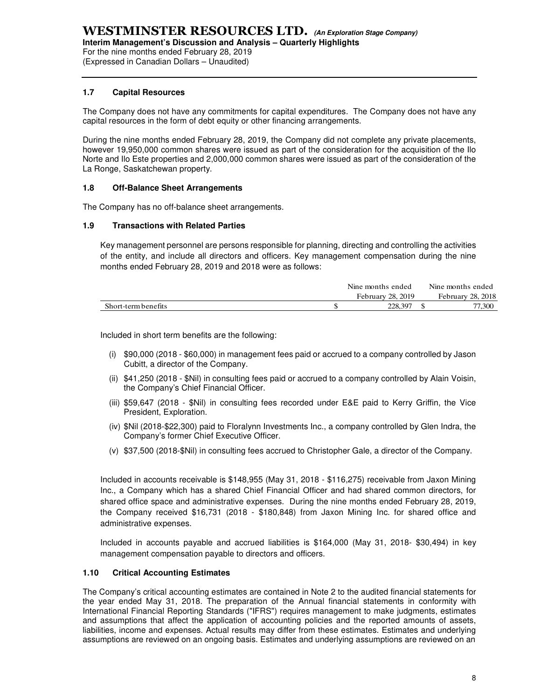(Expressed in Canadian Dollars – Unaudited)

#### **1.7 Capital Resources**

The Company does not have any commitments for capital expenditures. The Company does not have any capital resources in the form of debt equity or other financing arrangements.

During the nine months ended February 28, 2019, the Company did not complete any private placements, however 19,950,000 common shares were issued as part of the consideration for the acquisition of the Ilo Norte and Ilo Este properties and 2,000,000 common shares were issued as part of the consideration of the La Ronge, Saskatchewan property.

#### **1.8 Off-Balance Sheet Arrangements**

The Company has no off-balance sheet arrangements.

#### **1.9 Transactions with Related Parties**

Key management personnel are persons responsible for planning, directing and controlling the activities of the entity, and include all directors and officers. Key management compensation during the nine months ended February 28, 2019 and 2018 were as follows:

| February 28, 2019 |                     | Nine months ended | Nine months ended |
|-------------------|---------------------|-------------------|-------------------|
|                   |                     |                   | February 28, 2018 |
|                   | Short-term benefits | 228.397           | 77.300            |

Included in short term benefits are the following:

- (i) \$90,000 (2018 \$60,000) in management fees paid or accrued to a company controlled by Jason Cubitt, a director of the Company.
- (ii) \$41,250 (2018 \$Nil) in consulting fees paid or accrued to a company controlled by Alain Voisin, the Company's Chief Financial Officer.
- (iii) \$59,647 (2018 \$Nil) in consulting fees recorded under E&E paid to Kerry Griffin, the Vice President, Exploration.
- (iv) \$Nil (2018-\$22,300) paid to Floralynn Investments Inc., a company controlled by Glen Indra, the Company's former Chief Executive Officer.
- (v) \$37,500 (2018-\$Nil) in consulting fees accrued to Christopher Gale, a director of the Company.

Included in accounts receivable is \$148,955 (May 31, 2018 - \$116,275) receivable from Jaxon Mining Inc., a Company which has a shared Chief Financial Officer and had shared common directors, for shared office space and administrative expenses. During the nine months ended February 28, 2019, the Company received \$16,731 (2018 - \$180,848) from Jaxon Mining Inc. for shared office and administrative expenses.

Included in accounts payable and accrued liabilities is \$164,000 (May 31, 2018- \$30,494) in key management compensation payable to directors and officers.

#### **1.10 Critical Accounting Estimates**

The Company's critical accounting estimates are contained in Note 2 to the audited financial statements for the year ended May 31, 2018. The preparation of the Annual financial statements in conformity with International Financial Reporting Standards ("IFRS") requires management to make judgments, estimates and assumptions that affect the application of accounting policies and the reported amounts of assets, liabilities, income and expenses. Actual results may differ from these estimates. Estimates and underlying assumptions are reviewed on an ongoing basis. Estimates and underlying assumptions are reviewed on an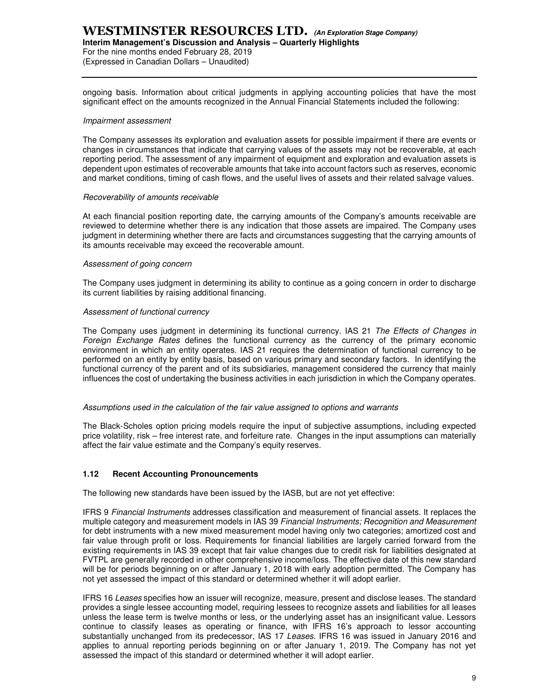# **WESTMINSTER RESOURCES LTD. (An Exploration Stage Company)**

#### **Interim Management's Discussion and Analysis – Quarterly Highlights**

For the nine months ended February 28, 2019 (Expressed in Canadian Dollars – Unaudited)

ongoing basis. Information about critical judgments in applying accounting policies that have the most significant effect on the amounts recognized in the Annual Financial Statements included the following:

#### Impairment assessment

The Company assesses its exploration and evaluation assets for possible impairment if there are events or changes in circumstances that indicate that carrying values of the assets may not be recoverable, at each reporting period. The assessment of any impairment of equipment and exploration and evaluation assets is dependent upon estimates of recoverable amounts that take into account factors such as reserves, economic and market conditions, timing of cash flows, and the useful lives of assets and their related salvage values.

#### Recoverability of amounts receivable

At each financial position reporting date, the carrying amounts of the Company's amounts receivable are reviewed to determine whether there is any indication that those assets are impaired. The Company uses judgment in determining whether there are facts and circumstances suggesting that the carrying amounts of its amounts receivable may exceed the recoverable amount.

#### Assessment of going concern

The Company uses judgment in determining its ability to continue as a going concern in order to discharge its current liabilities by raising additional financing.

#### Assessment of functional currency

The Company uses judgment in determining its functional currency. IAS 21 The Effects of Changes in Foreign Exchange Rates defines the functional currency as the currency of the primary economic environment in which an entity operates. IAS 21 requires the determination of functional currency to be performed on an entity by entity basis, based on various primary and secondary factors. In identifying the functional currency of the parent and of its subsidiaries, management considered the currency that mainly influences the cost of undertaking the business activities in each jurisdiction in which the Company operates.

#### Assumptions used in the calculation of the fair value assigned to options and warrants

The Black-Scholes option pricing models require the input of subjective assumptions, including expected price volatility, risk – free interest rate, and forfeiture rate. Changes in the input assumptions can materially affect the fair value estimate and the Company's equity reserves.

#### **1.12 Recent Accounting Pronouncements**

The following new standards have been issued by the IASB, but are not yet effective:

IFRS 9 Financial Instruments addresses classification and measurement of financial assets. It replaces the multiple category and measurement models in IAS 39 Financial Instruments; Recognition and Measurement for debt instruments with a new mixed measurement model having only two categories; amortized cost and fair value through profit or loss. Requirements for financial liabilities are largely carried forward from the existing requirements in IAS 39 except that fair value changes due to credit risk for liabilities designated at FVTPL are generally recorded in other comprehensive income/loss. The effective date of this new standard will be for periods beginning on or after January 1, 2018 with early adoption permitted. The Company has not yet assessed the impact of this standard or determined whether it will adopt earlier.

IFRS 16 Leases specifies how an issuer will recognize, measure, present and disclose leases. The standard provides a single lessee accounting model, requiring lessees to recognize assets and liabilities for all leases unless the lease term is twelve months or less, or the underlying asset has an insignificant value. Lessors continue to classify leases as operating or finance, with IFRS 16's approach to lessor accounting substantially unchanged from its predecessor, IAS 17 Leases. IFRS 16 was issued in January 2016 and applies to annual reporting periods beginning on or after January 1, 2019. The Company has not yet assessed the impact of this standard or determined whether it will adopt earlier.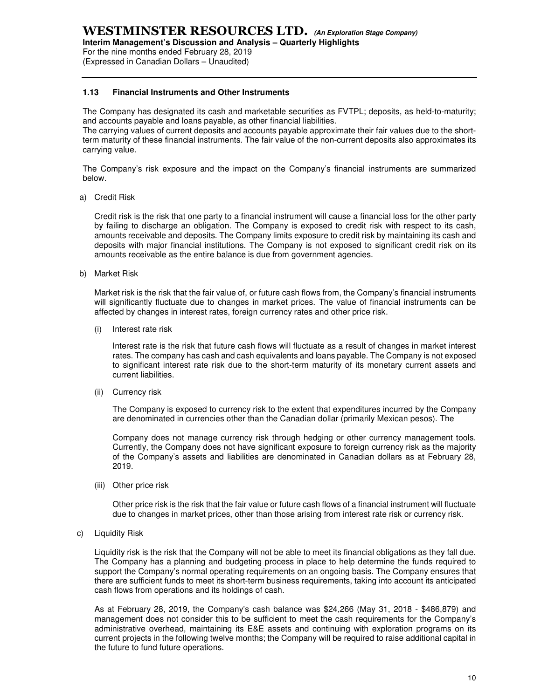**Interim Management's Discussion and Analysis – Quarterly Highlights** 

For the nine months ended February 28, 2019 (Expressed in Canadian Dollars – Unaudited)

#### **1.13 Financial Instruments and Other Instruments**

The Company has designated its cash and marketable securities as FVTPL; deposits, as held-to-maturity; and accounts payable and loans payable, as other financial liabilities.

The carrying values of current deposits and accounts payable approximate their fair values due to the shortterm maturity of these financial instruments. The fair value of the non-current deposits also approximates its carrying value.

The Company's risk exposure and the impact on the Company's financial instruments are summarized below.

a) Credit Risk

Credit risk is the risk that one party to a financial instrument will cause a financial loss for the other party by failing to discharge an obligation. The Company is exposed to credit risk with respect to its cash, amounts receivable and deposits. The Company limits exposure to credit risk by maintaining its cash and deposits with major financial institutions. The Company is not exposed to significant credit risk on its amounts receivable as the entire balance is due from government agencies.

b) Market Risk

Market risk is the risk that the fair value of, or future cash flows from, the Company's financial instruments will significantly fluctuate due to changes in market prices. The value of financial instruments can be affected by changes in interest rates, foreign currency rates and other price risk.

(i) Interest rate risk

Interest rate is the risk that future cash flows will fluctuate as a result of changes in market interest rates. The company has cash and cash equivalents and loans payable. The Company is not exposed to significant interest rate risk due to the short-term maturity of its monetary current assets and current liabilities.

(ii) Currency risk

The Company is exposed to currency risk to the extent that expenditures incurred by the Company are denominated in currencies other than the Canadian dollar (primarily Mexican pesos). The

Company does not manage currency risk through hedging or other currency management tools. Currently, the Company does not have significant exposure to foreign currency risk as the majority of the Company's assets and liabilities are denominated in Canadian dollars as at February 28, 2019.

(iii) Other price risk

Other price risk is the risk that the fair value or future cash flows of a financial instrument will fluctuate due to changes in market prices, other than those arising from interest rate risk or currency risk.

c) Liquidity Risk

Liquidity risk is the risk that the Company will not be able to meet its financial obligations as they fall due. The Company has a planning and budgeting process in place to help determine the funds required to support the Company's normal operating requirements on an ongoing basis. The Company ensures that there are sufficient funds to meet its short-term business requirements, taking into account its anticipated cash flows from operations and its holdings of cash.

As at February 28, 2019, the Company's cash balance was \$24,266 (May 31, 2018 - \$486,879) and management does not consider this to be sufficient to meet the cash requirements for the Company's administrative overhead, maintaining its E&E assets and continuing with exploration programs on its current projects in the following twelve months; the Company will be required to raise additional capital in the future to fund future operations.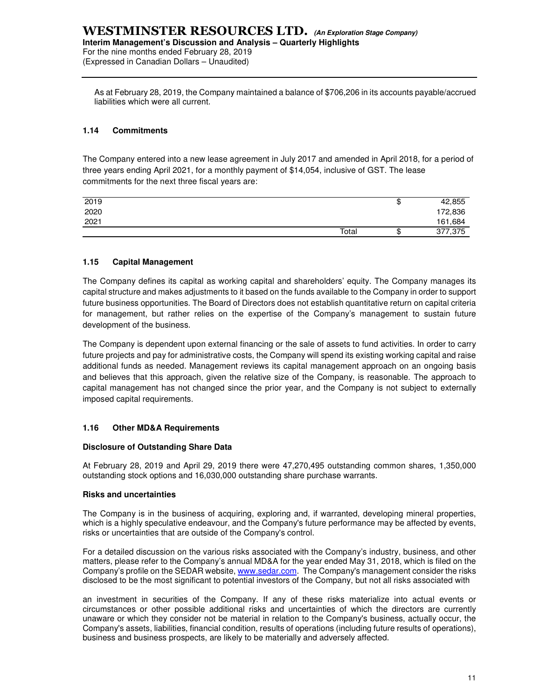As at February 28, 2019, the Company maintained a balance of \$706,206 in its accounts payable/accrued liabilities which were all current.

#### **1.14 Commitments**

The Company entered into a new lease agreement in July 2017 and amended in April 2018, for a period of three years ending April 2021, for a monthly payment of \$14,054, inclusive of GST. The lease commitments for the next three fiscal years are:

| 2019 |       | ιD      | 42,855  |
|------|-------|---------|---------|
| 2020 |       |         | 172,836 |
| 2021 |       |         | 161,684 |
|      | Total | 灬<br>۰D | 377,375 |

#### **1.15 Capital Management**

The Company defines its capital as working capital and shareholders' equity. The Company manages its capital structure and makes adjustments to it based on the funds available to the Company in order to support future business opportunities. The Board of Directors does not establish quantitative return on capital criteria for management, but rather relies on the expertise of the Company's management to sustain future development of the business.

The Company is dependent upon external financing or the sale of assets to fund activities. In order to carry future projects and pay for administrative costs, the Company will spend its existing working capital and raise additional funds as needed. Management reviews its capital management approach on an ongoing basis and believes that this approach, given the relative size of the Company, is reasonable. The approach to capital management has not changed since the prior year, and the Company is not subject to externally imposed capital requirements.

#### **1.16 Other MD&A Requirements**

#### **Disclosure of Outstanding Share Data**

At February 28, 2019 and April 29, 2019 there were 47,270,495 outstanding common shares, 1,350,000 outstanding stock options and 16,030,000 outstanding share purchase warrants.

#### **Risks and uncertainties**

The Company is in the business of acquiring, exploring and, if warranted, developing mineral properties, which is a highly speculative endeavour, and the Company's future performance may be affected by events, risks or uncertainties that are outside of the Company's control.

For a detailed discussion on the various risks associated with the Company's industry, business, and other matters, please refer to the Company's annual MD&A for the year ended May 31, 2018, which is filed on the Company's profile on the SEDAR website, www.sedar.com. The Company's management consider the risks disclosed to be the most significant to potential investors of the Company, but not all risks associated with

an investment in securities of the Company. If any of these risks materialize into actual events or circumstances or other possible additional risks and uncertainties of which the directors are currently unaware or which they consider not be material in relation to the Company's business, actually occur, the Company's assets, liabilities, financial condition, results of operations (including future results of operations), business and business prospects, are likely to be materially and adversely affected.